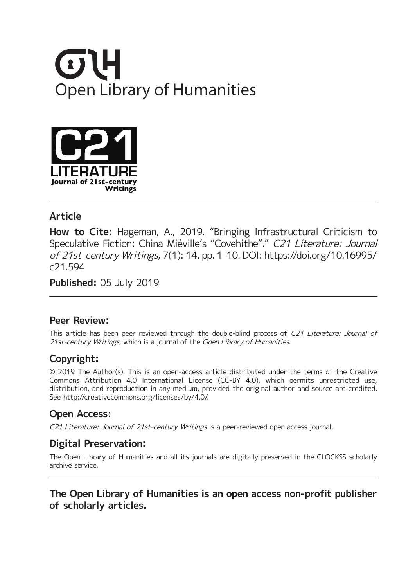



#### **Article**

**How to Cite:** Hageman, A., 2019. "Bringing Infrastructural Criticism to Speculative Fiction: China Miéville's "Covehithe"." C21 Literature: Journal of 21st-century Writings, 7(1): 14, pp. 1–10. DOI: [https://doi.org/10.16995/](https://doi.org/10.16995/c21.594) [c21.594](https://doi.org/10.16995/c21.594)

**Published:** 05 July 2019

#### **Peer Review:**

This article has been peer reviewed through the double-blind process of C21 Literature: Journal of 21st-century Writings, which is a journal of the Open Library of Humanities.

## **Copyright:**

© 2019 The Author(s). This is an open-access article distributed under the terms of the Creative Commons Attribution 4.0 International License (CC-BY 4.0), which permits unrestricted use, distribution, and reproduction in any medium, provided the original author and source are credited. See [http://creativecommons.org/licenses/by/4.0/.](http://creativecommons.org/licenses/by/4.0/)

## **Open Access:**

C21 Literature: Journal of 21st-century Writings is a peer-reviewed open access journal.

## **Digital Preservation:**

The Open Library of Humanities and all its journals are digitally preserved in the CLOCKSS scholarly archive service.

#### **The Open Library of Humanities is an open access non-profit publisher of scholarly articles.**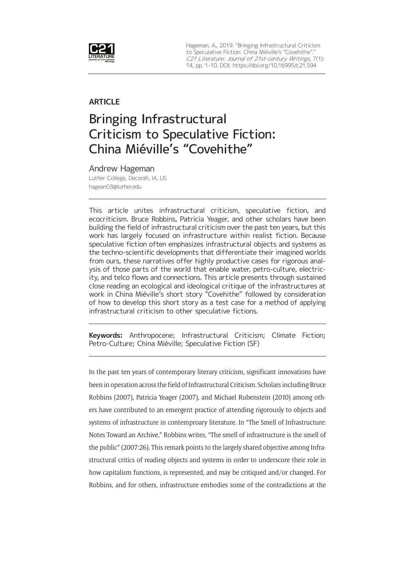

Hageman, A., 2019. "Bringing Infrastructural Criticism to Speculative Fiction: China Miéville's "Covehithe". C21 Literature: Journal of 21st-century Writings, 7(1): 14, pp. 1–10. DOI: <https://doi.org/10.16995/c21.594>

#### **ARTICLE**

# Bringing Infrastructural Criticism to Speculative Fiction: China Miéville's "Covehithe"

Andrew Hageman Luther College, Decorah, IA, US [hagean03@luther.edu](mailto:hagean03@luther.edu)

This article unites infrastructural criticism, speculative fiction, and ecocriticism. Bruce Robbins, Patricia Yeager, and other scholars have been building the field of infrastructural criticism over the past ten years, but this work has largely focused on infrastructure within realist fiction. Because speculative fiction often emphasizes infrastructural objects and systems as the techno-scientific developments that differentiate their imagined worlds from ours, these narratives offer highly productive cases for rigorous analysis of those parts of the world that enable water, petro-culture, electricity, and telco flows and connections. This article presents through sustained close reading an ecological and ideological critique of the infrastructures at work in China Miéville's short story "Covehithe" followed by consideration of how to develop this short story as a test case for a method of applying infrastructural criticism to other speculative fictions.

**Keywords:** Anthropocene; Infrastructural Criticism; Climate Fiction; Petro-Culture; China Miéville; Speculative Fiction (SF)

In the past ten years of contemporary literary criticism, significant innovations have been in operation across the field of Infrastructural Criticism. Scholars including Bruce Robbins (2007), Patricia Yeager (2007), and Michael Rubenstein (2010) among others have contributed to an emergent practice of attending rigorously to objects and systems of infrastructure in contemproary literature. In "The Smell of Infrastructure: Notes Toward an Archive," Robbins writes, "The smell of infrastructure is the smell of the public" (2007:26). This remark points to the largely shared objective among Infrastructural critics of reading objects and systems in order to underscore their role in how capitalism functions, is represented, and may be critiqued and/or changed. For Robbins, and for others, infrastructure embodies some of the contradictions at the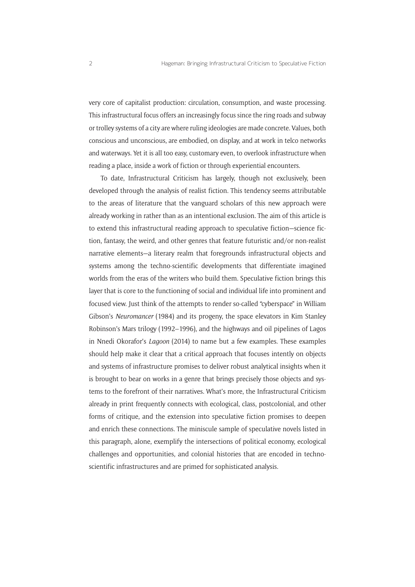very core of capitalist production: circulation, consumption, and waste processing. This infrastructural focus offers an increasingly focus since the ring roads and subway or trolley systems of a city are where ruling ideologies are made concrete. Values, both conscious and unconscious, are embodied, on display, and at work in telco networks and waterways. Yet it is all too easy, customary even, to overlook infrastructure when reading a place, inside a work of fiction or through experiential encounters.

To date, Infrastructural Criticism has largely, though not exclusively, been developed through the analysis of realist fiction. This tendency seems attributable to the areas of literature that the vanguard scholars of this new approach were already working in rather than as an intentional exclusion. The aim of this article is to extend this infrastructural reading approach to speculative fiction—science fiction, fantasy, the weird, and other genres that feature futuristic and/or non-realist narrative elements—a literary realm that foregrounds infrastructural objects and systems among the techno-scientific developments that differentiate imagined worlds from the eras of the writers who build them. Speculative fiction brings this layer that is core to the functioning of social and individual life into prominent and focused view. Just think of the attempts to render so-called "cyberspace" in William Gibson's *Neuromancer* (1984) and its progeny, the space elevators in Kim Stanley Robinson's Mars trilogy (1992–1996), and the highways and oil pipelines of Lagos in Nnedi Okorafor's *Lagoon* (2014) to name but a few examples. These examples should help make it clear that a critical approach that focuses intently on objects and systems of infrastructure promises to deliver robust analytical insights when it is brought to bear on works in a genre that brings precisely those objects and systems to the forefront of their narratives. What's more, the Infrastructural Criticism already in print frequently connects with ecological, class, postcolonial, and other forms of critique, and the extension into speculative fiction promises to deepen and enrich these connections. The miniscule sample of speculative novels listed in this paragraph, alone, exemplify the intersections of political economy, ecological challenges and opportunities, and colonial histories that are encoded in technoscientific infrastructures and are primed for sophisticated analysis.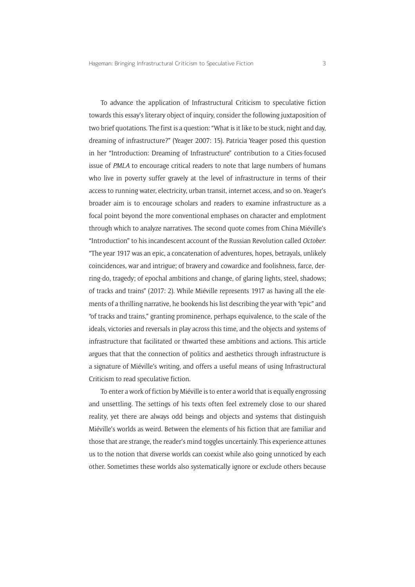To advance the application of Infrastructural Criticism to speculative fiction towards this essay's literary object of inquiry, consider the following juxtaposition of two brief quotations. The first is a question: "What is it like to be stuck, night and day, dreaming of infrastructure?" (Yeager 2007: 15). Patricia Yeager posed this question in her "Introduction: Dreaming of Infrastructure" contribution to a Cities-focused issue of *PMLA* to encourage critical readers to note that large numbers of humans who live in poverty suffer gravely at the level of infrastructure in terms of their access to running water, electricity, urban transit, internet access, and so on. Yeager's broader aim is to encourage scholars and readers to examine infrastructure as a focal point beyond the more conventional emphases on character and emplotment through which to analyze narratives. The second quote comes from China Miéville's "Introduction" to his incandescent account of the Russian Revolution called *October*: "The year 1917 was an epic, a concatenation of adventures, hopes, betrayals, unlikely coincidences, war and intrigue; of bravery and cowardice and foolishness, farce, derring-do, tragedy; of epochal ambitions and change, of glaring lights, steel, shadows; of tracks and trains" (2017: 2). While Miéville represents 1917 as having all the elements of a thrilling narrative, he bookends his list describing the year with "epic" and "of tracks and trains," granting prominence, perhaps equivalence, to the scale of the ideals, victories and reversals in play across this time, and the objects and systems of infrastructure that facilitated or thwarted these ambitions and actions. This article argues that that the connection of politics and aesthetics through infrastructure is a signature of Miéville's writing, and offers a useful means of using Infrastructural Criticism to read speculative fiction.

To enter a work of fiction by Miéville is to enter a world that is equally engrossing and unsettling. The settings of his texts often feel extremely close to our shared reality, yet there are always odd beings and objects and systems that distinguish Miéville's worlds as weird. Between the elements of his fiction that are familiar and those that are strange, the reader's mind toggles uncertainly. This experience attunes us to the notion that diverse worlds can coexist while also going unnoticed by each other. Sometimes these worlds also systematically ignore or exclude others because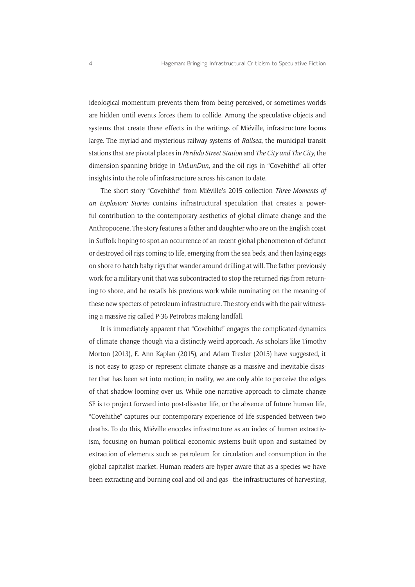ideological momentum prevents them from being perceived, or sometimes worlds are hidden until events forces them to collide. Among the speculative objects and systems that create these effects in the writings of Miéville, infrastructure looms large. The myriad and mysterious railway systems of *Railsea*, the municipal transit stations that are pivotal places in *Perdido Street Station* and *The City and The City*, the dimension-spanning bridge in *UnLunDun*, and the oil rigs in "Covehithe" all offer insights into the role of infrastructure across his canon to date.

The short story "Covehithe" from Miéville's 2015 collection *Three Moments of an Explosion: Stories* contains infrastructural speculation that creates a powerful contribution to the contemporary aesthetics of global climate change and the Anthropocene. The story features a father and daughter who are on the English coast in Suffolk hoping to spot an occurrence of an recent global phenomenon of defunct or destroyed oil rigs coming to life, emerging from the sea beds, and then laying eggs on shore to hatch baby rigs that wander around drilling at will. The father previously work for a military unit that was subcontracted to stop the returned rigs from returning to shore, and he recalls his previous work while ruminating on the meaning of these new specters of petroleum infrastructure. The story ends with the pair witnessing a massive rig called P-36 Petrobras making landfall.

It is immediately apparent that "Covehithe" engages the complicated dynamics of climate change though via a distinctly weird approach. As scholars like Timothy Morton (2013), E. Ann Kaplan (2015), and Adam Trexler (2015) have suggested, it is not easy to grasp or represent climate change as a massive and inevitable disaster that has been set into motion; in reality, we are only able to perceive the edges of that shadow looming over us. While one narrative approach to climate change SF is to project forward into post-disaster life, or the absence of future human life, "Covehithe" captures our contemporary experience of life suspended between two deaths. To do this, Miéville encodes infrastructure as an index of human extractivism, focusing on human political economic systems built upon and sustained by extraction of elements such as petroleum for circulation and consumption in the global capitalist market. Human readers are hyper-aware that as a species we have been extracting and burning coal and oil and gas—the infrastructures of harvesting,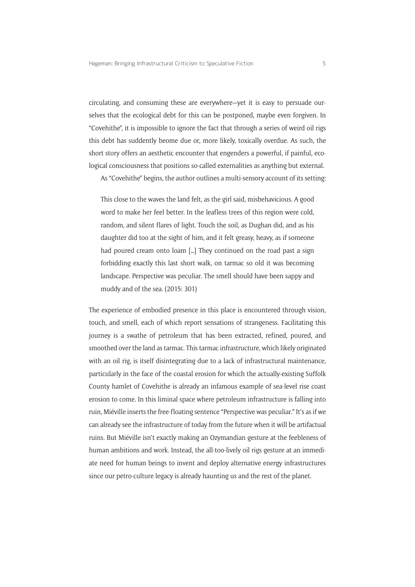circulating, and consuming these are everywhere—yet it is easy to persuade ourselves that the ecological debt for this can be postponed, maybe even forgiven. In "Covehithe", it is impossible to ignore the fact that through a series of weird oil rigs this debt has suddently beome due or, more likely, toxically overdue. As such, the short story offers an aesthetic encounter that engenders a powerful, if painful, ecological consciousness that positions so-called externalities as anything but external.

As "Covehithe" begins, the author outlines a multi-sensory account of its setting:

This close to the waves the land felt, as the girl said, misbehavicious. A good word to make her feel better. In the leafless trees of this region were cold, random, and silent flares of light. Touch the soil, as Dughan did, and as his daughter did too at the sight of him, and it felt greasy, heavy, as if someone had poured cream onto loam […] They continued on the road past a sign forbidding exactly this last short walk, on tarmac so old it was becoming landscape. Perspective was peculiar. The smell should have been sappy and muddy and of the sea. (2015: 301)

The experience of embodied presence in this place is encountered through vision, touch, and smell, each of which report sensations of strangeness. Facilitating this journey is a swathe of petroleum that has been extracted, refined, poured, and smoothed over the land as tarmac. This tarmac infrastructure, which likely originated with an oil rig, is itself disintegrating due to a lack of infrastructural maintenance, particularly in the face of the coastal erosion for which the actually-existing Suffolk County hamlet of Covehithe is already an infamous example of sea-level rise coast erosion to come. In this liminal space where petroleum infrastructure is falling into ruin, Miéville inserts the free-floating sentence "Perspective was peculiar." It's as if we can already see the infrastructure of today from the future when it will be artifactual ruins. But Miéville isn't exactly making an Ozymandian gesture at the feebleness of human ambitions and work. Instead, the all-too-lively oil rigs gesture at an immediate need for human beings to invent and deploy alternative energy infrastructures since our petro-culture legacy is already haunting us and the rest of the planet.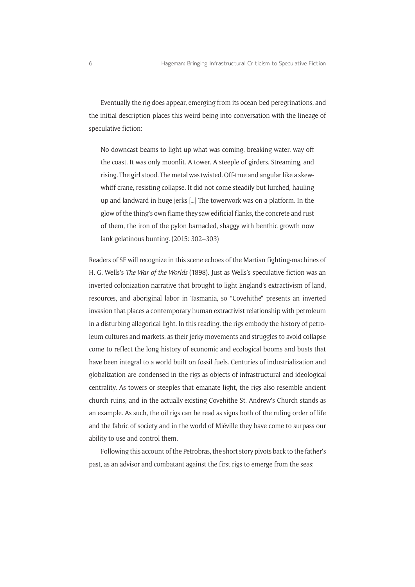Eventually the rig does appear, emerging from its ocean-bed peregrinations, and the initial description places this weird being into conversation with the lineage of speculative fiction:

No downcast beams to light up what was coming, breaking water, way off the coast. It was only moonlit. A tower. A steeple of girders. Streaming, and rising. The girl stood. The metal was twisted. Off-true and angular like a skewwhiff crane, resisting collapse. It did not come steadily but lurched, hauling up and landward in huge jerks […] The towerwork was on a platform. In the glow of the thing's own flame they saw edificial flanks, the concrete and rust of them, the iron of the pylon barnacled, shaggy with benthic growth now lank gelatinous bunting. (2015: 302–303)

Readers of SF will recognize in this scene echoes of the Martian fighting-machines of H. G. Wells's *The War of the Worlds* (1898). Just as Wells's speculative fiction was an inverted colonization narrative that brought to light England's extractivism of land, resources, and aboriginal labor in Tasmania, so "Covehithe" presents an inverted invasion that places a contemporary human extractivist relationship with petroleum in a disturbing allegorical light. In this reading, the rigs embody the history of petroleum cultures and markets, as their jerky movements and struggles to avoid collapse come to reflect the long history of economic and ecological booms and busts that have been integral to a world built on fossil fuels. Centuries of industrialization and globalization are condensed in the rigs as objects of infrastructural and ideological centrality. As towers or steeples that emanate light, the rigs also resemble ancient church ruins, and in the actually-existing Covehithe St. Andrew's Church stands as an example. As such, the oil rigs can be read as signs both of the ruling order of life and the fabric of society and in the world of Miéville they have come to surpass our ability to use and control them.

Following this account of the Petrobras, the short story pivots back to the father's past, as an advisor and combatant against the first rigs to emerge from the seas: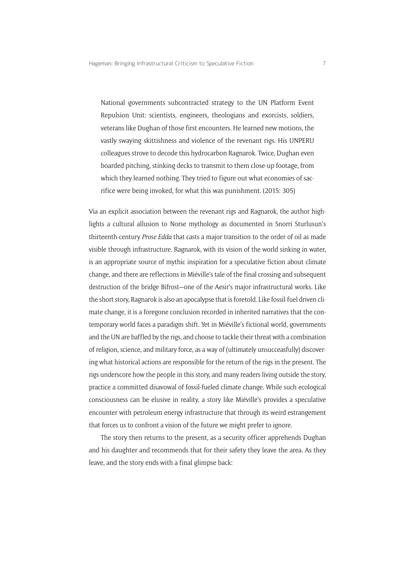National governments subcontracted strategy to the UN Platform Event Repulsion Unit: scientists, engineers, theologians and exorcists, soldiers, veterans like Dughan of those first encounters. He learned new motions, the vastly swaying skittishness and violence of the revenant rigs. His UNPERU colleagues strove to decode this hydrocarbon Ragnarok. Twice, Dughan even boarded pitching, stinking decks to transmit to them close-up footage, from which they learned nothing. They tried to figure out what economies of sacrifice were being invoked, for what this was punishment. (2015: 305)

Via an explicit association between the revenant rigs and Ragnarok, the author highlights a cultural allusion to Norse mythology as documented in Snorri Sturlusun's thirteenth-century *Prose Edda* that casts a major transition to the order of oil as made visible through infrastructure. Ragnarok, with its vision of the world sinking in water, is an appropriate source of mythic inspiration for a speculative fiction about climate change, and there are reflections in Miéville's tale of the final crossing and subsequent destruction of the bridge Bifrost—one of the Aesir's major infrastructural works. Like the short story, Ragnarok is also an apocalypse that is foretold. Like fossil-fuel driven climate change, it is a foregone conclusion recorded in inherited narratives that the contemporary world faces a paradigm shift. Yet in Miéville's fictional world, governments and the UN are baffled by the rigs, and choose to tackle their threat with a combination of religion, science, and military force, as a way of (ultimately unsucceasfully) discovering what historical actions are responsible for the return of the rigs in the present. The rigs underscore how the people in this story, and many readers living outside the story, practice a committed disavowal of fossil-fueled climate change. While such ecological consciousness can be elusive in reality, a story like Miéville's provides a speculative encounter with petroleum energy infrastructure that through its weird estrangement that forces us to confront a vision of the future we might prefer to ignore.

The story then returns to the present, as a security officer apprehends Dughan and his daughter and recommends that for their safety they leave the area. As they leave, and the story ends with a final glimpse back: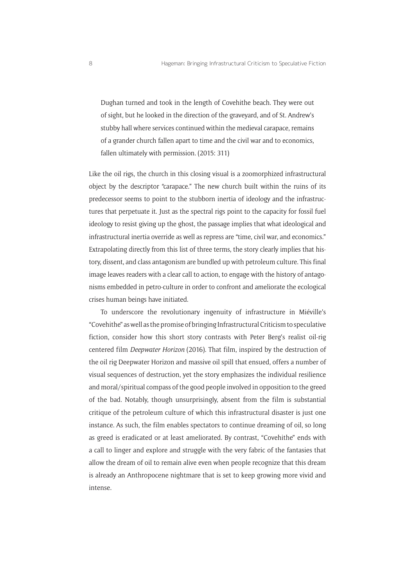Dughan turned and took in the length of Covehithe beach. They were out of sight, but he looked in the direction of the graveyard, and of St. Andrew's stubby hall where services continued within the medieval carapace, remains of a grander church fallen apart to time and the civil war and to economics, fallen ultimately with permission. (2015: 311)

Like the oil rigs, the church in this closing visual is a zoomorphized infrastructural object by the descriptor "carapace." The new church built within the ruins of its predecessor seems to point to the stubborn inertia of ideology and the infrastructures that perpetuate it. Just as the spectral rigs point to the capacity for fossil fuel ideology to resist giving up the ghost, the passage implies that what ideological and infrastructural inertia override as well as repress are "time, civil war, and economics." Extrapolating directly from this list of three terms, the story clearly implies that history, dissent, and class antagonism are bundled up with petroleum culture. This final image leaves readers with a clear call to action, to engage with the history of antagonisms embedded in petro-culture in order to confront and ameliorate the ecological crises human beings have initiated.

To underscore the revolutionary ingenuity of infrastructure in Miéville's "Covehithe" as well as the promise of bringing Infrastructural Criticism to speculative fiction, consider how this short story contrasts with Peter Berg's realist oil-rig centered film *Deepwater Horizon* (2016). That film, inspired by the destruction of the oil rig Deepwater Horizon and massive oil spill that ensued, offers a number of visual sequences of destruction, yet the story emphasizes the individual resilience and moral/spiritual compass of the good people involved in opposition to the greed of the bad. Notably, though unsurprisingly, absent from the film is substantial critique of the petroleum culture of which this infrastructural disaster is just one instance. As such, the film enables spectators to continue dreaming of oil, so long as greed is eradicated or at least ameliorated. By contrast, "Covehithe" ends with a call to linger and explore and struggle with the very fabric of the fantasies that allow the dream of oil to remain alive even when people recognize that this dream is already an Anthropocene nightmare that is set to keep growing more vivid and intense.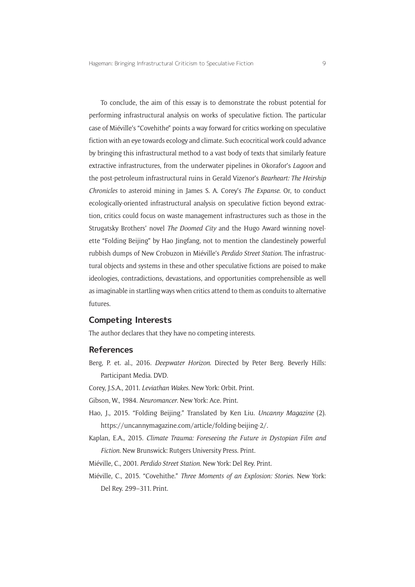To conclude, the aim of this essay is to demonstrate the robust potential for performing infrastructural analysis on works of speculative fiction. The particular case of Miéville's "Covehithe" points a way forward for critics working on speculative fiction with an eye towards ecology and climate. Such ecocritical work could advance by bringing this infrastructural method to a vast body of texts that similarly feature extractive infrastructures, from the underwater pipelines in Okorafor's *Lagoon* and the post-petroleum infrastructural ruins in Gerald Vizenor's *Bearheart: The Heirship Chronicles* to asteroid mining in James S. A. Corey's *The Expanse*. Or, to conduct ecologically-oriented infrastructural analysis on speculative fiction beyond extraction, critics could focus on waste management infrastructures such as those in the Strugatsky Brothers' novel *The Doomed City* and the Hugo Award winning novelette "Folding Beijing" by Hao Jingfang, not to mention the clandestinely powerful rubbish dumps of New Crobuzon in Miéville's *Perdido Street Station*. The infrastructural objects and systems in these and other speculative fictions are poised to make ideologies, contradictions, devastations, and opportunities comprehensible as well as imaginable in startling ways when critics attend to them as conduits to alternative futures.

#### **Competing Interests**

The author declares that they have no competing interests.

#### **References**

- Berg, P. et. al., 2016. *Deepwater Horizon*. Directed by Peter Berg. Beverly Hills: Participant Media. DVD.
- Corey, J.S.A., 2011. *Leviathan Wakes*. New York: Orbit. Print.
- Gibson, W., 1984. *Neuromancer*. New York: Ace. Print.
- Hao, J., 2015. "Folding Beijing." Translated by Ken Liu. *Uncanny Magazine* (2). [https://uncannymagazine.com/article/folding-beijing-2/.](https://uncannymagazine.com/article/folding-beijing-2/)
- Kaplan, E.A., 2015. *Climate Trauma: Foreseeing the Future in Dystopian Film and Fiction*. New Brunswick: Rutgers University Press. Print.
- Miéville, C., 2001. *Perdido Street Station*. New York: Del Rey. Print.
- Miéville, C., 2015. "Covehithe." *Three Moments of an Explosion: Stories*. New York: Del Rey. 299–311. Print.